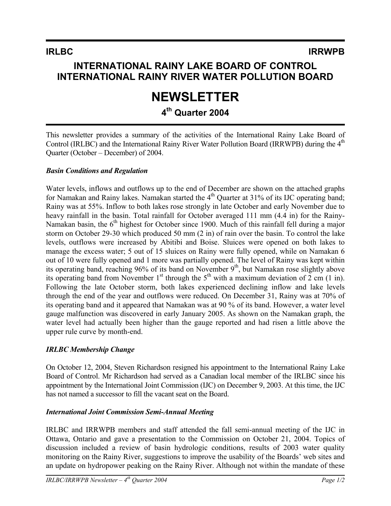## **INTERNATIONAL RAINY LAKE BOARD OF CONTROL INTERNATIONAL RAINY RIVER WATER POLLUTION BOARD**

# **NEWSLETTER**

## **4th Quarter 2004**

This newsletter provides a summary of the activities of the International Rainy Lake Board of Control (IRLBC) and the International Rainy River Water Pollution Board (IRRWPB) during the 4<sup>th</sup> Quarter (October – December) of 2004.

### *Basin Conditions and Regulation*

Water levels, inflows and outflows up to the end of December are shown on the attached graphs for Namakan and Rainy lakes. Namakan started the 4<sup>th</sup> Quarter at 31% of its IJC operating band; Rainy was at 55%. Inflow to both lakes rose strongly in late October and early November due to heavy rainfall in the basin. Total rainfall for October averaged 111 mm (4.4 in) for the Rainy-Namakan basin, the  $6<sup>th</sup>$  highest for October since 1900. Much of this rainfall fell during a major storm on October 29-30 which produced 50 mm (2 in) of rain over the basin. To control the lake levels, outflows were increased by Abitibi and Boise. Sluices were opened on both lakes to manage the excess water; 5 out of 15 sluices on Rainy were fully opened, while on Namakan 6 out of 10 were fully opened and 1 more was partially opened. The level of Rainy was kept within its operating band, reaching 96% of its band on November  $9<sup>th</sup>$ , but Namakan rose slightly above its operating band from November 1<sup>st</sup> through the 5<sup>th</sup> with a maximum deviation of 2 cm (1 in). Following the late October storm, both lakes experienced declining inflow and lake levels through the end of the year and outflows were reduced. On December 31, Rainy was at 70% of its operating band and it appeared that Namakan was at 90 % of its band. However, a water level gauge malfunction was discovered in early January 2005. As shown on the Namakan graph, the water level had actually been higher than the gauge reported and had risen a little above the upper rule curve by month-end.

### *IRLBC Membership Change*

On October 12, 2004, Steven Richardson resigned his appointment to the International Rainy Lake Board of Control. Mr Richardson had served as a Canadian local member of the IRLBC since his appointment by the International Joint Commission (IJC) on December 9, 2003. At this time, the IJC has not named a successor to fill the vacant seat on the Board.

### *International Joint Commission Semi-Annual Meeting*

IRLBC and IRRWPB members and staff attended the fall semi-annual meeting of the IJC in Ottawa, Ontario and gave a presentation to the Commission on October 21, 2004. Topics of discussion included a review of basin hydrologic conditions, results of 2003 water quality monitoring on the Rainy River, suggestions to improve the usability of the Boards' web sites and an update on hydropower peaking on the Rainy River. Although not within the mandate of these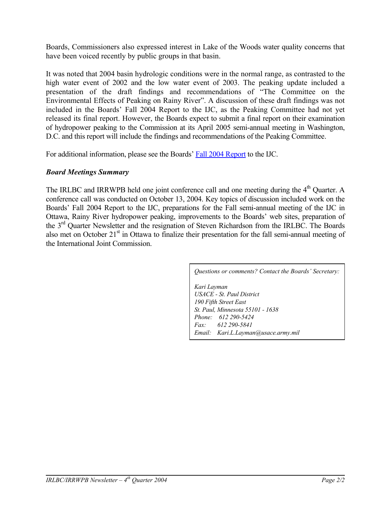Boards, Commissioners also expressed interest in Lake of the Woods water quality concerns that have been voiced recently by public groups in that basin.

It was noted that 2004 basin hydrologic conditions were in the normal range, as contrasted to the high water event of 2002 and the low water event of 2003. The peaking update included a presentation of the draft findings and recommendations of "The Committee on the Environmental Effects of Peaking on Rainy River". A discussion of these draft findings was not included in the Boards' Fall 2004 Report to the IJC, as the Peaking Committee had not yet released its final report. However, the Boards expect to submit a final report on their examination of hydropower peaking to the Commission at its April 2005 semi-annual meeting in Washington, D.C. and this report will include the findings and recommendations of the Peaking Committee.

For additional information, please see the Boards' [Fall 2004 Report](http://www.ijc.org/rel/pdf/IRRWPB-IRLBCjointrpt0401-0409_e.pdf) to the IJC.

#### *Board Meetings Summary*

The IRLBC and IRRWPB held one joint conference call and one meeting during the 4<sup>th</sup> Quarter. A conference call was conducted on October 13, 2004. Key topics of discussion included work on the Boards' Fall 2004 Report to the IJC, preparations for the Fall semi-annual meeting of the IJC in Ottawa, Rainy River hydropower peaking, improvements to the Boards' web sites, preparation of the 3<sup>rd</sup> Quarter Newsletter and the resignation of Steven Richardson from the IRLBC. The Boards also met on October 21<sup>st</sup> in Ottawa to finalize their presentation for the fall semi-annual meeting of the International Joint Commission.

*Questions or comments? Contact the Boards' Secretary:*

*Kari Layman USACE - St. Paul District 190 Fifth Street East St. Paul, Minnesota 55101 - 1638 Phone: 612 290-5424 Fax: 612 290-5841 Email: [Kari.L.Layman@usace.army.mil](mailto:Kari.L.Layman@usace.army.mil)*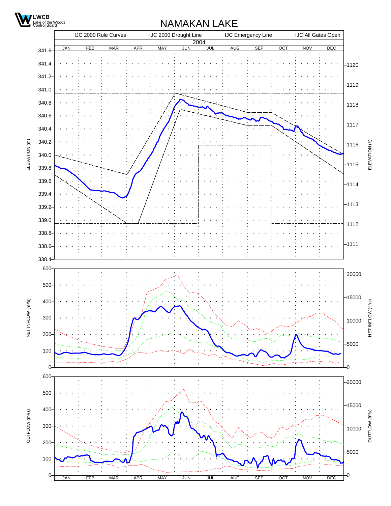